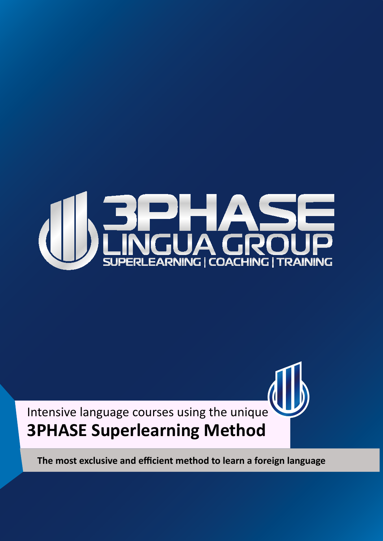



**The most exclusive and efficient method to learn a foreign language**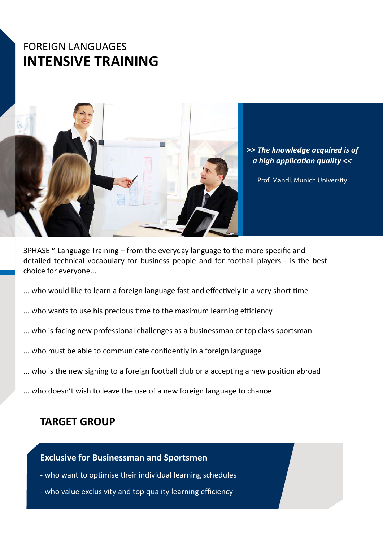## FOREIGN LANGUAGES **INTENSIVE TRAINING**



*>> The knowledge acquired is of a high application quality <<*

Prof. Mandl. Munich University

3PHASE™ Language Training – from the everyday language to the more specific and detailed technical vocabulary for business people and for football players - is the best choice for everyone...

- ... who would like to learn a foreign language fast and effectively in a very short time
- ... who wants to use his precious time to the maximum learning efficiency
- ... who is facing new professional challenges as a businessman or top class sportsman
- ... who must be able to communicate confidently in a foreign language
- ... who is the new signing to a foreign football club or a accepting a new position abroad
- ... who doesn't wish to leave the use of a new foreign language to chance

### **TARGET GROUP**

#### **Exclusive for Businessman and Sportsmen**

- who want to optimise their individual learning schedules
- who value exclusivity and top quality learning efficiency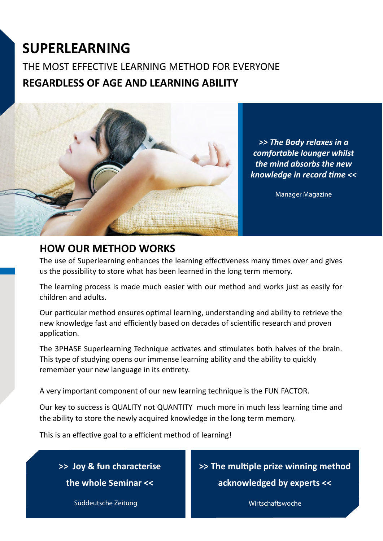# **SUPERLEARNING**

THE MOST EFFECTIVE LEARNING METHOD FOR EVERYONE **REGARDLESS OF AGE AND LEARNING ABILITY**



*>> The Body relaxes in a comfortable lounger whilst the mind absorbs the new knowledge in record time <<*

Manager Magazine

### **HOW OUR METHOD WORKS**

The use of Superlearning enhances the learning effectiveness many times over and gives us the possibility to store what has been learned in the long term memory.

The learning process is made much easier with our method and works just as easily for children and adults.

Our particular method ensures optimal learning, understanding and ability to retrieve the new knowledge fast and efficiently based on decades of scientific research and proven application.

The 3PHASE Superlearning Technique activates and stimulates both halves of the brain. This type of studying opens our immense learning ability and the ability to quickly remember your new language in its entirety.

A very important component of our new learning technique is the FUN FACTOR.

Our key to success is QUALITY not QUANTITY much more in much less learning time and the ability to store the newly acquired knowledge in the long term memory.

This is an effective goal to a efficient method of learning!

**>> Joy & fun characterise** 

**the whole Seminar <<**

**>> The multiple prize winning method** 

**acknowledged by experts <<**

Süddeutsche Zeitung Wirtschaftswoche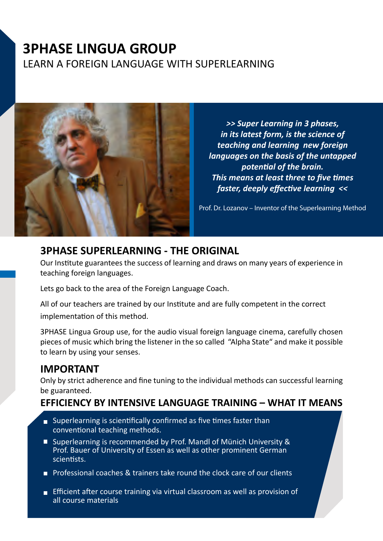## **3PHASE LINGUA GROUP** LEARN A FOREIGN LANGUAGE WITH SUPERLEARNING



*>> Super Learning in 3 phases, in its latest form, is the science of teaching and learning new foreign languages on the basis of the untapped potential of the brain. This means at least three to five times faster, deeply effective learning <<*

Prof. Dr. Lozanov – Inventor of the Superlearning Method

#### **3PHASE SUPERLEARNING - THE ORIGINAL**

Our Institute guarantees the success of learning and draws on many years of experience in teaching foreign languages.

Lets go back to the area of the Foreign Language Coach.

All of our teachers are trained by our Institute and are fully competent in the correct implementation of this method.

3PHASE Lingua Group use, for the audio visual foreign language cinema, carefully chosen pieces of music which bring the listener in the so called "Alpha State" and make it possible to learn by using your senses.

## **IMPORTANT**

Only by strict adherence and fine tuning to the individual methods can successful learning be guaranteed.

#### **EFFICIENCY BY INTENSIVE LANGUAGE TRAINING – WHAT IT MEANS**

- Superlearning is scientifically confirmed as five times faster than conventional teaching methods.
- Superlearning is recommended by Prof. Mandl of Münich University & Prof. Bauer of University of Essen as well as other prominent German scientists.
- **Professional coaches & trainers take round the clock care of our clients**
- **Efficient after course training via virtual classroom as well as provision of** all course materials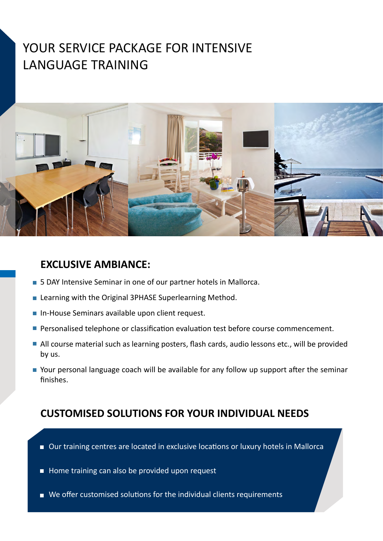## YOUR SERVICE PACKAGE FOR INTENSIVE LANGUAGE TRAINING



#### **EXCLUSIVE AMBIANCE:**

- **5 DAY Intensive Seminar in one of our partner hotels in Mallorca.**
- **EXECTE 2018 Learning with the Original 3PHASE Superlearning Method.**
- **In-House Seminars available upon client request.**
- **Personalised telephone or classification evaluation test before course commencement.**
- All course material such as learning posters, flash cards, audio lessons etc., will be provided by us.
- Your personal language coach will be available for any follow up support after the seminar finishes.

## **CUSTOMISED SOLUTIONS FOR YOUR INDIVIDUAL NEEDS**

- Our training centres are located in exclusive locations or luxury hotels in Mallorca
- Home training can also be provided upon request
- We offer customised solutions for the individual clients requirements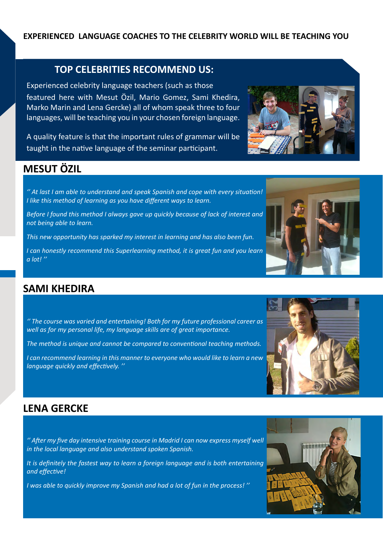#### **EXPERIENCED LANGUAGE COACHES TO THE CELEBRITY WORLD WILL BE TEACHING YOU**

#### **TOP CELEBRITIES RECOMMEND US:**

Experienced celebrity language teachers (such as those featured here with Mesut Özil, Mario Gomez, Sami Khedira, Marko Marin and Lena Gercke) all of whom speak three to four languages, will be teaching you in your chosen foreign language.

A quality feature is that the important rules of grammar will be taught in the native language of the seminar participant.

### **MESUT ÖZIL**

*'' At last I am able to understand and speak Spanish and cope with every situation! I like this method of learning as you have different ways to learn.*

*Before I found this method I always gave up quickly because of lack of interest and not being able to learn.*

*This new opportunity has sparked my interest in learning and has also been fun.*

*I can honestly recommend this Superlearning method, it is great fun and you learn a lot! ''*

#### **SAMI KHEDIRA**

*'' The course was varied and entertaining! Both for my future professional career as well as for my personal life, my language skills are of great importance.*

*The method is unique and cannot be compared to conventional teaching methods.*

*I can recommend learning in this manner to everyone who would like to learn a new language quickly and effectively. ''*

#### **LENA GERCKE**

*'' After my five day intensive training course in Madrid I can now express myself well in the local language and also understand spoken Spanish.*

*It is definitely the fastest way to learn a foreign language and is both entertaining and effective!*

*I was able to quickly improve my Spanish and had a lot of fun in the process! ''*